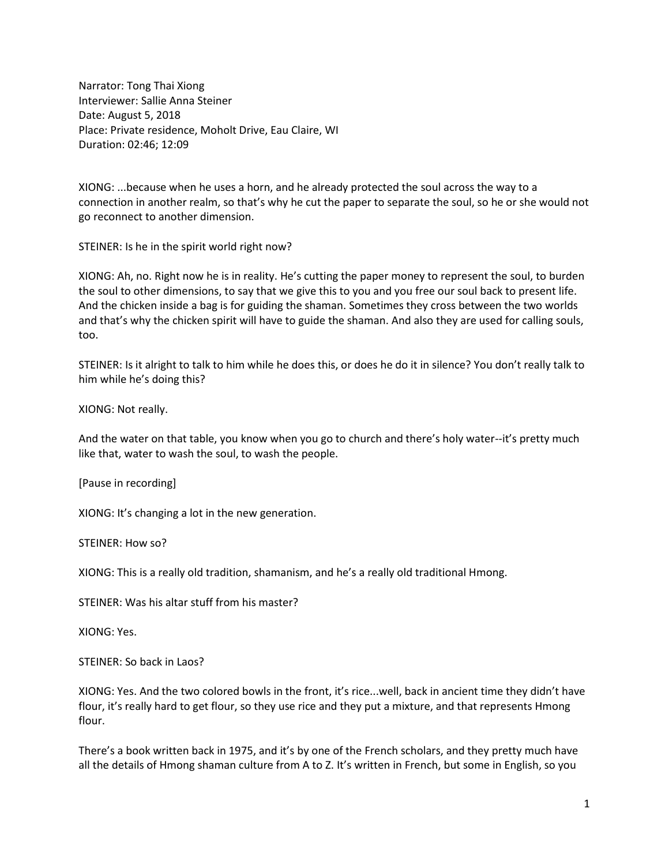Narrator: Tong Thai Xiong Interviewer: Sallie Anna Steiner Date: August 5, 2018 Place: Private residence, Moholt Drive, Eau Claire, WI Duration: 02:46; 12:09

XIONG: ...because when he uses a horn, and he already protected the soul across the way to a connection in another realm, so that's why he cut the paper to separate the soul, so he or she would not go reconnect to another dimension.

STEINER: Is he in the spirit world right now?

XIONG: Ah, no. Right now he is in reality. He's cutting the paper money to represent the soul, to burden the soul to other dimensions, to say that we give this to you and you free our soul back to present life. And the chicken inside a bag is for guiding the shaman. Sometimes they cross between the two worlds and that's why the chicken spirit will have to guide the shaman. And also they are used for calling souls, too.

STEINER: Is it alright to talk to him while he does this, or does he do it in silence? You don't really talk to him while he's doing this?

XIONG: Not really.

And the water on that table, you know when you go to church and there's holy water--it's pretty much like that, water to wash the soul, to wash the people.

[Pause in recording]

XIONG: It's changing a lot in the new generation.

STEINER: How so?

XIONG: This is a really old tradition, shamanism, and he's a really old traditional Hmong.

STEINER: Was his altar stuff from his master?

XIONG: Yes.

STEINER: So back in Laos?

XIONG: Yes. And the two colored bowls in the front, it's rice...well, back in ancient time they didn't have flour, it's really hard to get flour, so they use rice and they put a mixture, and that represents Hmong flour.

There's a book written back in 1975, and it's by one of the French scholars, and they pretty much have all the details of Hmong shaman culture from A to Z. It's written in French, but some in English, so you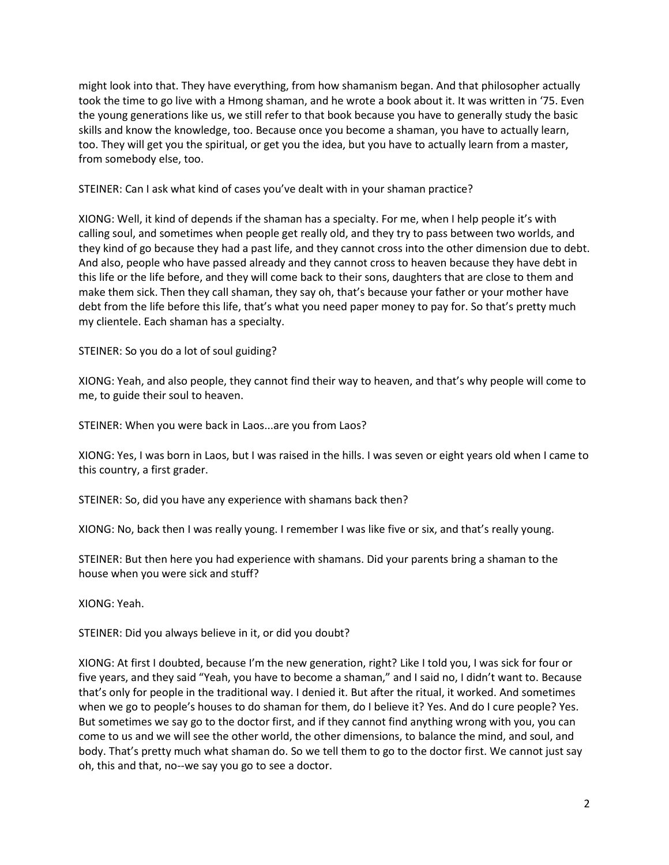might look into that. They have everything, from how shamanism began. And that philosopher actually took the time to go live with a Hmong shaman, and he wrote a book about it. It was written in '75. Even the young generations like us, we still refer to that book because you have to generally study the basic skills and know the knowledge, too. Because once you become a shaman, you have to actually learn, too. They will get you the spiritual, or get you the idea, but you have to actually learn from a master, from somebody else, too.

STEINER: Can I ask what kind of cases you've dealt with in your shaman practice?

XIONG: Well, it kind of depends if the shaman has a specialty. For me, when I help people it's with calling soul, and sometimes when people get really old, and they try to pass between two worlds, and they kind of go because they had a past life, and they cannot cross into the other dimension due to debt. And also, people who have passed already and they cannot cross to heaven because they have debt in this life or the life before, and they will come back to their sons, daughters that are close to them and make them sick. Then they call shaman, they say oh, that's because your father or your mother have debt from the life before this life, that's what you need paper money to pay for. So that's pretty much my clientele. Each shaman has a specialty.

STEINER: So you do a lot of soul guiding?

XIONG: Yeah, and also people, they cannot find their way to heaven, and that's why people will come to me, to guide their soul to heaven.

STEINER: When you were back in Laos...are you from Laos?

XIONG: Yes, I was born in Laos, but I was raised in the hills. I was seven or eight years old when I came to this country, a first grader.

STEINER: So, did you have any experience with shamans back then?

XIONG: No, back then I was really young. I remember I was like five or six, and that's really young.

STEINER: But then here you had experience with shamans. Did your parents bring a shaman to the house when you were sick and stuff?

XIONG: Yeah.

STEINER: Did you always believe in it, or did you doubt?

XIONG: At first I doubted, because I'm the new generation, right? Like I told you, I was sick for four or five years, and they said "Yeah, you have to become a shaman," and I said no, I didn't want to. Because that's only for people in the traditional way. I denied it. But after the ritual, it worked. And sometimes when we go to people's houses to do shaman for them, do I believe it? Yes. And do I cure people? Yes. But sometimes we say go to the doctor first, and if they cannot find anything wrong with you, you can come to us and we will see the other world, the other dimensions, to balance the mind, and soul, and body. That's pretty much what shaman do. So we tell them to go to the doctor first. We cannot just say oh, this and that, no--we say you go to see a doctor.